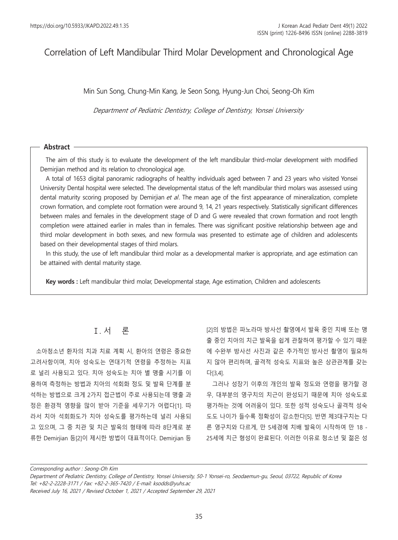# Correlation of Left Mandibular Third Molar Development and Chronological Age

Min Sun Song, Chung-Min Kang, Je Seon Song, Hyung-Jun Choi, Seong-Oh Kim

Department of Pediatric Dentistry, College of Dentistry, Yonsei University

#### **Abstract**

The aim of this study is to evaluate the development of the left mandibular third-molar development with modified Demirjian method and its relation to chronological age.

A total of 1653 digital panoramic radiographs of healthy individuals aged between 7 and 23 years who visited Yonsei University Dental hospital were selected. The developmental status of the left mandibular third molars was assessed using dental maturity scoring proposed by Demirjian et al. The mean age of the first appearance of mineralization, complete crown formation, and complete root formation were around 9, 14, 21 years respectively. Statistically significant differences between males and females in the development stage of D and G were revealed that crown formation and root length completion were attained earlier in males than in females. There was significant positive relationship between age and third molar development in both sexes, and new formula was presented to estimate age of children and adolescents based on their developmental stages of third molars.

In this study, the use of left mandibular third molar as a developmental marker is appropriate, and age estimation can be attained with dental maturity stage.

**Key words :** Left mandibular third molar, Developmental stage, Age estimation, Children and adolescents

### Ⅰ. 서 론

소아청소년 환자의 치과 치료 계획 시, 환아의 연령은 중요한 고려사항이며, 치아 성숙도는 연대기적 연령을 추정하는 지표 로 널리 사용되고 있다. 치아 성숙도는 치아 별 맹출 시기를 이 용하여 측정하는 방법과 치아의 석회화 정도 및 발육 단계를 분 석하는 방법으로 크게 2가지 접근법이 주로 사용되는데 맹출 과 정은 환경적 영향을 많이 받아 기준을 세우기가 어렵다[1]. 따 라서 치아 석회화도가 치아 성숙도를 평가하는데 널리 사용되 고 있으며, 그 중 치관 및 치근 발육의 형태에 따라 8단계로 분 류한 Demirjian 등[2]이 제시한 방법이 대표적이다. Demirjian 등

[2]의 방법은 파노라마 방사선 촬영에서 발육 중인 치배 또는 맹 출 중인 치아의 치근 발육을 쉽게 관찰하여 평가할 수 있기 때문 에 수완부 방사선 사진과 같은 추가적인 방사선 촬영이 필요하 지 않아 편리하며, 골격적 성숙도 지표와 높은 상관관계를 갖는 다[3,4].

그러나 성장기 이후의 개인의 발육 정도와 연령을 평가할 경 우, 대부분의 영구치의 치근이 완성되기 때문에 치아 성숙도로 평가하는 것에 어려움이 있다. 또한 성적 성숙도나 골격적 성숙 도도 나이가 들수록 정확성이 감소한다[5]. 반면 제3대구치는 다 른 영구치와 다르게, 만 5세경에 치배 발육이 시작하여 만 18 - 25세에 치근 형성이 완료된다. 이러한 이유로 청소년 및 젊은 성

Corresponding author : Seong-Oh Kim

Department of Pediatric Dentistry, College of Dentistry, Yonsei University, 50-1 Yonsei-ro, Seodaemun-gu, Seoul, 03722, Republic of Korea Tel: +82-2-2228-3171 / Fax: +82-2-365-7420 / E-mail: ksodds@yuhs.ac

Received July 16, 2021 / Revised October 1, 2021 / Accepted September 29, 2021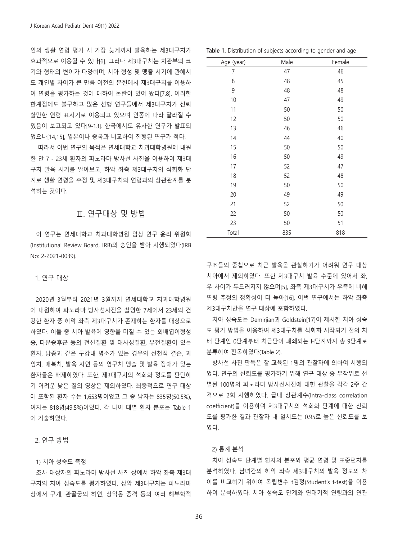인의 생활 연령 평가 시 가장 늦게까지 발육하는 제3대구치가 효과적으로 이용될 수 있다[6]. 그러나 제3대구치는 치관부의 크 기와 형태의 변이가 다양하며, 치아 형성 및 맹출 시기에 관해서 도 개인별 차이가 큰 만큼 이전의 문헌에서 제3대구치를 이용하 여 연령을 평가하는 것에 대하여 논란이 있어 왔다[7,8]. 이러한 한계점에도 불구하고 많은 선행 연구들에서 제3대구치가 신뢰 할만한 연령 표시기로 이용되고 있으며 인종에 따라 달라질 수 있음이 보고되고 있다[9-13]. 한국에서도 유사한 연구가 발표되 었으나[14,15], 일본이나 중국과 비교하여 진행된 연구가 적다.

따라서 이번 연구의 목적은 연세대학교 치과대학병원에 내원 한 만 7 - 23세 환자의 파노라마 방사선 사진을 이용하여 제3대 구치 발육 시기를 알아보고, 하악 좌측 제3대구치의 석회화 단 계로 생활 연령을 추정 및 제3대구치와 연령과의 상관관계를 분 석하는 것이다.

### Ⅱ. 연구대상 및 방법

이 연구는 연세대학교 치과대학병원 임상 연구 윤리 위원회 (Institutional Review Board, IRB)의 승인을 받아 시행되었다(IRB No: 2-2021-0039).

#### 1. 연구 대상

2020년 3월부터 2021년 3월까지 연세대학교 치과대학병원 에 내원하여 파노라마 방사선사진을 촬영한 7세에서 23세의 건 강한 환자 중 하악 좌측 제3대구치가 존재하는 환자를 대상으로 하였다. 이들 중 치아 발육에 영향을 미칠 수 있는 외배엽이형성 증, 다운증후군 등의 전신질환 및 대사성질환, 유전질환이 있는 환자, 낭종과 같은 구강내 병소가 있는 경우와 선천적 결손, 과 잉치, 매복치, 발육 지연 등의 영구치 맹출 및 발육 장애가 있는 환자들은 배제하였다. 또한, 제3대구치의 석회화 정도를 판단하 기 어려운 낮은 질의 영상은 제외하였다. 최종적으로 연구 대상 에 포함된 환자 수는 1,653명이었고 그 중 남자는 835명(50.5%), 여자는 818명(49.5%)이었다. 각 나이 대별 환자 분포는 Table 1 에 기술하였다.

### 2. 연구 방법

#### 1) 치아 성숙도 측정

조사 대상자의 파노라마 방사선 사진 상에서 하악 좌측 제3대 구치의 치아 성숙도를 평가하였다. 상악 제3대구치는 파노라마 상에서 구개, 관골궁의 하연, 상악동 중격 등의 여러 해부학적

|  |  |  | <b>Table 1.</b> Distribution of subjects according to gender and age |
|--|--|--|----------------------------------------------------------------------|
|  |  |  |                                                                      |

| Age (year)     | Male | Female |
|----------------|------|--------|
| $\overline{7}$ | 47   | 46     |
| 8              | 48   | 45     |
| 9              | 48   | 48     |
| 10             | 47   | 49     |
| 11             | 50   | 50     |
| 12             | 50   | 50     |
| 13             | 46   | 46     |
| 14             | 44   | 40     |
| 15             | 50   | 50     |
| 16             | 50   | 49     |
| 17             | 52   | 47     |
| 18             | 52   | 48     |
| 19             | 50   | 50     |
| 20             | 49   | 49     |
| 21             | 52   | 50     |
| 22             | 50   | 50     |
| 23             | 50   | 51     |
| Total          | 835  | 818    |

구조들의 중첩으로 치근 발육을 관찰하기가 어려워 연구 대상 치아에서 제외하였다. 또한 제3대구치 발육 수준에 있어서 좌, 우 차이가 두드러지지 않으며[5], 좌측 제3대구치가 우측에 비해 연령 추정의 정확성이 더 높아[16], 이번 연구에서는 하악 좌측 제3대구치만을 연구 대상에 포함하였다.

치아 성숙도는 Demirjian과 Goldstein[17]이 제시한 치아 성숙 도 평가 방법을 이용하여 제3대구치를 석회화 시작되기 전의 치 배 단계인 0단계부터 치근단이 폐쇄되는 H단계까지 총 9단계로 분류하여 판독하였다(Table 2).

방사선 사진 판독은 잘 교육된 1명의 관찰자에 의하여 시행되 었다. 연구의 신뢰도를 평가하기 위해 연구 대상 중 무작위로 선 별된 100명의 파노라마 방사선사진에 대한 관찰을 각각 2주 간 격으로 2회 시행하였다. 급내 상관계수(Intra-class correlation coefficient)를 이용하여 제3대구치의 석회화 단계에 대한 신뢰 도를 평가한 결과 관찰자 내 일치도는 0.95로 높은 신뢰도를 보 였다.

#### 2) 통계 분석

치아 성숙도 단계별 환자의 분포와 평균 연령 및 표준편차를 분석하였다. 남녀간의 하악 좌측 제3대구치의 발육 정도의 차 이를 비교하기 위하여 독립변수 t검정(Student's t-test)을 이용 하여 분석하였다. 치아 성숙도 단계와 연대기적 연령과의 연관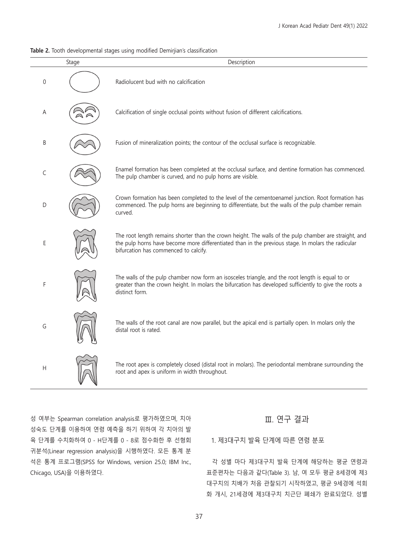#### Table 2. Tooth developmental stages using modified Demiriian's classification

|                  | Stage | Description                                                                                                                                                                                                                                           |
|------------------|-------|-------------------------------------------------------------------------------------------------------------------------------------------------------------------------------------------------------------------------------------------------------|
| $\boldsymbol{0}$ |       | Radiolucent bud with no calcification                                                                                                                                                                                                                 |
| Α                |       | Calcification of single occlusal points without fusion of different calcifications.                                                                                                                                                                   |
| B                |       | Fusion of mineralization points; the contour of the occlusal surface is recognizable.                                                                                                                                                                 |
| C                |       | Enamel formation has been completed at the occlusal surface, and dentine formation has commenced.<br>The pulp chamber is curved, and no pulp horns are visible.                                                                                       |
| D                |       | Crown formation has been completed to the level of the cementoenamel junction. Root formation has<br>commenced. The pulp horns are beginning to differentiate, but the walls of the pulp chamber remain<br>curved.                                    |
| E                |       | The root length remains shorter than the crown height. The walls of the pulp chamber are straight, and<br>the pulp horns have become more differentiated than in the previous stage. In molars the radicular<br>bifurcation has commenced to calcify. |
| F                |       | The walls of the pulp chamber now form an isosceles triangle, and the root length is equal to or<br>greater than the crown height. In molars the bifurcation has developed sufficiently to give the roots a<br>distinct form.                         |
| G                |       | The walls of the root canal are now parallel, but the apical end is partially open. In molars only the<br>distal root is rated.                                                                                                                       |
| Н                |       | The root apex is completely closed (distal root in molars). The periodontal membrane surrounding the<br>root and apex is uniform in width throughout.                                                                                                 |

성 여부는 Spearman correlation analysis로 평가하였으며, 치아 성숙도 단계를 이용하여 연령 예측을 하기 위하여 각 치아의 발 육 단계를 수치화하여 0 - H단계를 0 - 8로 점수화한 후 선형회 귀분석(Linear regression analysis)을 시행하였다. 모든 통계 분 석은 통계 프로그램(SPSS for Windows, version 25.0; IBM Inc., Chicago, USA)을 이용하였다.

### Ⅲ. 연구 결과

#### 1. 제3대구치 발육 단계에 따른 연령 분포

각 성별 마다 제3대구치 발육 단계에 해당하는 평균 연령과 표준편차는 다음과 같다(Table 3). 남, 여 모두 평균 8세경에 제3 대구치의 치배가 처음 관찰되기 시작하였고, 평균 9세경에 석회 화 개시, 21세경에 제3대구치 치근단 폐쇄가 완료되었다. 성별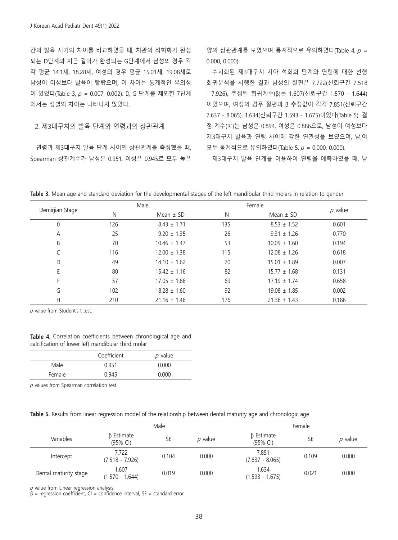간의 발육 시기의 차이를 비교하였을 때, 치관의 석회화가 완성 되는 D단계와 치근 길이가 완성되는 G단계에서 남성의 경우 각 각 평균 14.1세, 18.28세, 여성의 경우 평균 15.01세, 19.08세로 남성이 여성보다 발육이 빨랐으며, 이 차이는 통계적인 유의성 이 있었다(Table 3, p = 0.007, 0.002). D, G 단계를 제외한 7단계 에서는 성별의 차이는 나타나지 않았다.

#### 2. 제3대구치의 발육 단계와 연령과의 상관관계

연령과 제3대구치 발육 단계 사이의 상관관계를 측정했을 때, Spearman 상관계수가 남성은 0.951, 여성은 0.945로 모두 높은

양의 상관관계를 보였으며 통계적으로 유의하였다(Table 4,  $p =$ 0.000, 0.000).

수치화된 제3대구치 치아 석회화 단계와 연령에 대한 선형 회귀분석을 시행한 결과 남성의 절편은 7.722(신뢰구간 7.518 - 7.926), 추정된 회귀계수(β)는 1.607(신뢰구간 1.570 - 1.644) 이었으며, 여성의 경우 절편과 β 추정값이 각각 7.851(신뢰구간 7.637 - 8.065), 1.634(신뢰구간 1.593 - 1.675)이었다(Table 5). 결 정 계수(R2 )는 남성은 0.894, 여성은 0.886으로, 남성이 여성보다 제3대구치 발육과 연령 사이에 강한 연관성을 보였으며, 남,여 모두 통계적으로 유의하였다(Table 5,  $p = 0.000$ , 0.000).

제3대구치 발육 단계를 이용하여 연령을 예측하였을 때, 남

| Table 3. Mean age and standard deviation for the developmental stages of the left mandibular third molars in relation to gender |  |  |
|---------------------------------------------------------------------------------------------------------------------------------|--|--|
|---------------------------------------------------------------------------------------------------------------------------------|--|--|

|                 |     | Male             |     | Female           |           |
|-----------------|-----|------------------|-----|------------------|-----------|
| Demirjian Stage | Ν   | Mean $\pm$ SD    | N   | Mean $\pm$ SD    | $p$ value |
| 0               | 126 | $8.43 \pm 1.71$  | 135 | $8.53 \pm 1.52$  | 0.601     |
| Α               | 25  | $9.20 \pm 1.35$  | 26  | $9.31 \pm 1.26$  | 0.770     |
| B               | 70  | $10.46 \pm 1.47$ | 53  | $10.09 \pm 1.60$ | 0.194     |
|                 | 116 | $12.00 \pm 1.38$ | 115 | $12.08 \pm 1.26$ | 0.618     |
| D               | 49  | $14.10 \pm 1.62$ | 70  | $15.01 \pm 1.89$ | 0.007     |
| E               | 80  | $15.42 \pm 1.16$ | 82  | $15.77 \pm 1.68$ | 0.131     |
| F               | 57  | $17.05 \pm 1.66$ | 69  | $17.19 \pm 1.74$ | 0.658     |
| G               | 102 | $18.28 \pm 1.60$ | 92  | $19.08 \pm 1.85$ | 0.002     |
| Н               | 210 | $21.16 \pm 1.46$ | 176 | $21.36 \pm 1.43$ | 0.186     |

 $p$  value from Student's t-test.

| <b>Table 4.</b> Correlation coefficients between chronological age and |  |  |  |
|------------------------------------------------------------------------|--|--|--|
| calcification of lower left mandibular third molar                     |  |  |  |

|        | Coefficient | $p$ value |
|--------|-------------|-----------|
| Male   | 0.951       | 0.000     |
| Female | 0.945       | 0.000     |

 $p$  values from Spearman correlation test.

|  | Table 5. Results from linear regression model of the relationship between dental maturity age and chronologic age |  |  |
|--|-------------------------------------------------------------------------------------------------------------------|--|--|
|  |                                                                                                                   |  |  |

|                       | Male                          |           |           | Female                       |       |           |
|-----------------------|-------------------------------|-----------|-----------|------------------------------|-------|-----------|
| Variables             | <b>B</b> Estimate<br>(95% CI) | <b>SE</b> | $p$ value | $\beta$ Estimate<br>(95% CI) | SE    | $p$ value |
| Intercept             | 7.722<br>$(7.518 - 7.926)$    | 0.104     | 0.000     | 7.851<br>$(7.637 - 8.065)$   | 0.109 | 0.000     |
| Dental maturity stage | 1.607<br>$(1.570 - 1.644)$    | 0.019     | 0.000     | 1.634<br>$(1.593 - 1.675)$   | 0.021 | 0.000     |

 $p$  value from Linear regression analysis.

 $β = regression coefficient, CI = confidence interval, SE = standard error$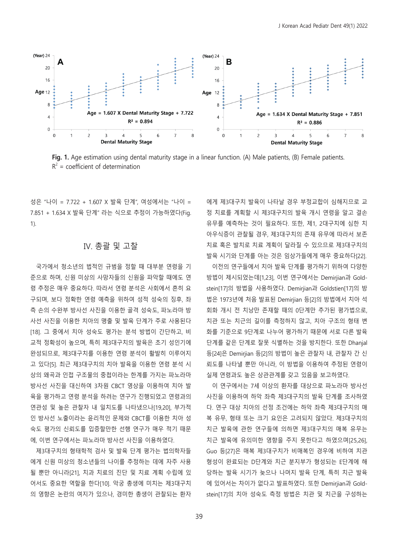

**Fig. 1.** Age estimation using dental maturity stage in a linear function. (A) Male patients, (B) Female patients.  $R^2$  = coefficient of determination

성은 "나이 = 7.722 + 1.607 X 발육 단계", 여성에서는 "나이 = 7.851 + 1.634 X 발육 단계" 라는 식으로 추정이 가능하였다(Fig. 1).

### Ⅳ. 총괄 및 고찰

국가에서 청소년의 법적인 규범을 정할 때 대부분 연령을 기 준으로 하며, 신원 미상의 사망자들의 신원을 파악할 때에도 연 령 추정은 매우 중요하다. 따라서 연령 분석은 사회에서 흔히 요 구되며, 보다 정확한 연령 예측을 위하여 성적 성숙의 징후, 좌 측 손의 수완부 방사선 사진을 이용한 골격 성숙도, 파노라마 방 사선 사진을 이용한 치아의 맹출 및 발육 단계가 주로 사용된다 [18]. 그 중에서 치아 성숙도 평가는 분석 방법이 간단하고, 비 교적 정확성이 높으며, 특히 제3대구치의 발육은 초기 성인기에 완성되므로, 제3대구치를 이용한 연령 분석이 활발히 이루어지 고 있다[5]. 최근 제3대구치의 치아 발육을 이용한 연령 분석 시 상의 왜곡과 인접 구조물의 중첩이라는 한계를 가지는 파노라마 방사선 사진을 대신하여 3차원 CBCT 영상을 이용하여 치아 발 육을 평가하고 연령 분석을 하려는 연구가 진행되었고 연령과의 연관성 및 높은 관찰자 내 일치도를 나타냈으나[19,20], 부가적 인 방사선 노출이라는 윤리적인 문제와 CBCT를 이용한 치아 성 숙도 평가의 신뢰도를 입증할만한 선행 연구가 매우 적기 때문 에, 이번 연구에서는 파노라마 방사선 사진을 이용하였다.

제3대구치의 형태학적 검사 및 발육 단계 평가는 법의학자들 에게 신원 미상의 청소년들의 나이를 추정하는 데에 자주 사용 될 뿐만 아니라[21], 치과 치료의 진단 및 치료 계획 수립에 있 어서도 중요한 역할을 한다[10]. 악궁 총생에 미치는 제3대구치 의 영향은 논란의 여지가 있으나, 경미한 총생이 관찰되는 환자 에게 제3대구치 발육이 나타날 경우 부정교합이 심해지므로 교 정 치료를 계획할 시 제3대구치의 발육 개시 연령을 알고 결손 유무를 예측하는 것이 필요하다. 또한, 제1, 2대구치에 심한 치 아우식증이 관찰될 경우, 제3대구치의 존재 유무에 따라서 보존 치료 혹은 발치로 치료 계획이 달라질 수 있으므로 제3대구치의 발육 시기와 단계를 아는 것은 임상가들에게 매우 중요하다[22].

이전의 연구들에서 치아 발육 단계를 평가하기 위하여 다양한 방법이 제시되었는데[1,23], 이번 연구에서는 Demirjian과 Goldstein[17]의 방법을 사용하였다. Demirjian과 Goldstien[17]의 방 법은 1973년에 처음 발표된 Demirjian 등[2]의 방법에서 치아 석 회화 개시 전 치낭만 존재할 때의 0단계만 추가된 평가법으로, 치관 또는 치근의 길이를 측정하지 않고, 치아 구조의 형태 변 화를 기준으로 9단계로 나누어 평가하기 때문에 서로 다른 발육 단계를 같은 단계로 잘못 식별하는 것을 방지한다. 또한 Dhanjal 등[24]은 Demirjian 등[2]의 방법이 높은 관찰자 내, 관찰자 간 신 뢰도를 나타낼 뿐만 아니라, 이 방법을 이용하여 추정된 연령이 실제 연령과도 높은 상관관계를 갖고 있음을 보고하였다.

이 연구에서는 7세 이상의 환자를 대상으로 파노라마 방사선 사진을 이용하여 하악 좌측 제3대구치의 발육 단계를 조사하였 다. 연구 대상 치아의 선정 조건에는 하악 좌측 제3대구치의 매 복 유무, 형태 또는 크기 요인은 고려되지 않았다. 제3대구치의 치근 발육에 관한 연구들에 의하면 제3대구치의 매복 유무는 치근 발육에 유의미한 영향을 주지 못한다고 하였으며[25,26], Guo 등[27]은 매복 제3대구치가 비매복인 경우에 비하여 치관 형성이 완료되는 D단계와 치근 분지부가 형성되는 E단계에 해 당하는 발육 시기가 늦으나 나머지 발육 단계, 특히 치근 발육 에 있어서는 차이가 없다고 발표하였다. 또한 Demirjian과 Goldstein[17]의 치아 성숙도 측정 방법은 치관 및 치근을 구성하는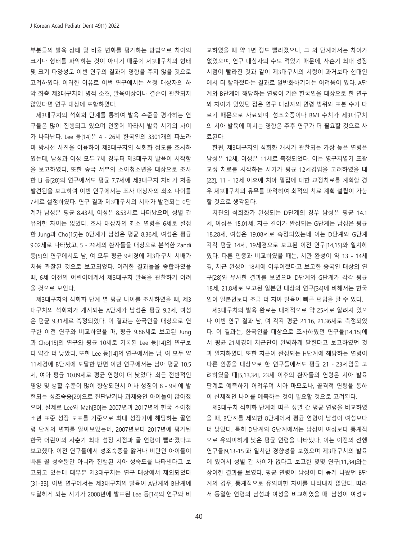부분들의 발육 상태 및 비율 변화를 평가하는 방법으로 치아의 크기나 형태를 파악하는 것이 아니기 때문에 제3대구치의 형태 및 크기 다양성도 이번 연구의 결과에 영향을 주지 않을 것으로 고려하였다. 이러한 이유로 이번 연구에서는 선정 대상자의 하 악 좌측 제3대구치에 병적 소견, 발육이상이나 결손이 관찰되지 않았다면 연구 대상에 포함하였다.

제3대구치의 석회화 단계를 통하여 발육 수준을 평가하는 연 구들은 많이 진행되고 있으며 인종에 따라서 발육 시기의 차이 가 나타난다. Lee 등[14]은 4 - 26세 한국인의 3301개의 파노라 마 방사선 사진을 이용하여 제3대구치의 석회화 정도를 조사하 였는데, 남성과 여성 모두 7세 경부터 제3대구치 발육이 시작함 을 보고하였다. 또한 중국 서부의 소아청소년을 대상으로 조사 한 Li 등[28]의 연구에서도 평균 7.7세에 제3대구치 치배가 처음 발견됨을 보고하여 이번 연구에서는 조사 대상자의 최소 나이를 7세로 설정하였다. 연구 결과 제3대구치의 치배가 발견되는 0단 계가 남성은 평균 8.43세, 여성은 8.53세로 나타났으며, 성별 간 유의한 차이는 없었다. 조사 대상자의 최소 연령을 6세로 설정 한 Jung과 Cho[15]는 0단계가 남성은 평균 8.36세, 여성은 평균 9.02세로 나타났고, 5 - 26세의 환자들을 대상으로 분석한 Zandi 등[5]의 연구에서도 남, 여 모두 평균 9세경에 제3대구치 치배가 처음 관찰된 것으로 보고되었다. 이러한 결과들을 종합하였을 때, 6세 이전의 어린이에게서 제3대구치 발육을 관찰하기 어려 울 것으로 보인다.

제3대구치의 석회화 단계 별 평균 나이를 조사하였을 때, 제3 대구치의 석회화가 개시되는 A단계가 남성은 평균 9.2세, 여성 은 평균 9.31세로 측정되었다. 이 결과는 한국인을 대상으로 연 구한 이전 연구와 비교하였을 때, 평균 9.86세로 보고된 Jung 과 Cho[15]의 연구와 평균 10세로 기록된 Lee 등[14]의 연구보 다 약간 더 낮았다. 또한 Lee 등[14]의 연구에서는 남, 여 모두 약 11세경에 B단계에 도달한 반면 이번 연구에서는 남아 평균 10.5 세, 여아 평균 10.09세로 평균 연령이 더 낮았다. 최근 전반적인 영양 및 생활 수준이 많이 향상되면서 이차 성징이 8 - 9세에 발 현되는 성조숙증[29]으로 진단받거나 과체중인 아이들이 많아졌 으며, 실제로 Lee와 Mah[30]는 2007년과 2017년의 한국 소아청 소년 표준 성장 도표를 기준으로 최대 성장기에 해당하는 골연 령 단계의 변화를 알아보았는데, 2007년보다 2017년에 평가된 한국 어린이의 사춘기 최대 성장 시점과 골 연령이 빨라졌다고 보고했다. 이전 연구들에서 성조숙증을 앓거나 비만인 아이들이 빠른 골 성숙뿐만 아니라 진행된 치아 성숙도를 나타낸다고 보 고되고 있는데 대부분 제3대구치는 연구 대상에서 제외되었다 [31-33]. 이번 연구에서는 제3대구치의 발육이 A단계와 B단계에 도달하게 되는 시기가 2008년에 발표된 Lee 등[14]의 연구와 비 교하였을 때 약 1년 정도 빨라졌으나, 그 외 단계에서는 차이가 없었으며, 연구 대상자의 수도 적었기 때문에, 사춘기 최대 성장 시점이 빨라진 것과 같이 제3대구치의 치령이 과거보다 현대인 에서 더 빨라졌다는 결과로 일반화하기에는 어려움이 있다. A단 계와 B단계에 해당하는 연령이 기존 한국인을 대상으로 한 연구 와 차이가 있었던 점은 연구 대상자의 연령 범위와 표본 수가 다 르기 때문으로 사료되며, 성조숙증이나 BMI 수치가 제3대구치 의 치아 발육에 미치는 영향은 추후 연구가 더 필요할 것으로 사 료된다.

한편, 제3대구치의 석회화 개시가 관찰되는 가장 늦은 연령은 남성은 12세, 여성은 11세로 측정되었다. 이는 영구치열기 포괄 교정 치료를 시작하는 시기가 평균 12세경임을 고려하였을 때 [22], 11 - 12세 이후에 치아 밀집에 대한 교정치료를 계획할 경 우 제3대구치의 유무를 파악하여 최적의 치료 계획 설립이 가능 할 것으로 생각된다.

치관의 석회화가 완성되는 D단계의 경우 남성은 평균 14.1 세, 여성은 15.01세, 치근 길이가 완성되는 G단계는 남성은 평균 18.28세, 여성은 19.08세로 측정되었는데 이는 D단계와 G단계 각각 평균 14세, 19세경으로 보고된 이전 연구[14,15]와 일치하 였다. 다른 인종과 비교하였을 때는, 치관 완성이 약 13 - 14세 경, 치근 완성이 18세에 이루어졌다고 보고한 중국인 대상의 연 구[28]와 유사한 결과를 보였으며 D단계와 G단계가 각각 평균 18세, 21.8세로 보고된 일본인 대상의 연구[34]에 비해서는 한국 인이 일본인보다 조금 더 치아 발육이 빠른 편임을 알 수 있다.

제3대구치의 발육 완료는 대체적으로 약 25세로 알려져 있으 나 이번 연구 결과 남, 여 각각 평균 21.16, 21.36세로 측정되었 다. 이 결과는, 한국인을 대상으로 조사하였던 연구들[14,15]에 서 평균 21세경에 치근단이 완벽하게 닫힌다고 보고하였던 것 과 일치하였다. 또한 치근이 완성되는 H단계에 해당하는 연령이 다른 인종을 대상으로 한 연구들에서도 평균 21 - 23세임을 고 려하였을 때[5,13,34], 23세 이후의 환자들의 연령은 치아 발육 단계로 예측하기 어려우며 치아 마모도나, 골격적 연령을 통하 여 신체적인 나이를 예측하는 것이 필요할 것으로 고려된다.

제3대구치 석회화 단계에 따른 성별 간 평균 연령을 비교하였 을 때, B단계를 제외한 8단계에서 평균 연령이 남성이 여성보다 더 낮았다. 특히 D단계와 G단계에서는 남성이 여성보다 통계적 으로 유의미하게 낮은 평균 연령을 나타냈다. 이는 이전의 선행 연구들[9,13-15]과 일치한 경향성을 보였으며 제3대구치의 발육 에 있어서 성별 간 차이가 없다고 보고한 몇몇 연구[11,34]와는 상이한 결과를 보였다. 평균 연령이 남성이 더 높게 나왔던 B단 계의 경우, 통계적으로 유의미한 차이를 나타내지 않았다. 따라 서 동일한 연령의 남성과 여성을 비교하였을 때, 남성이 여성보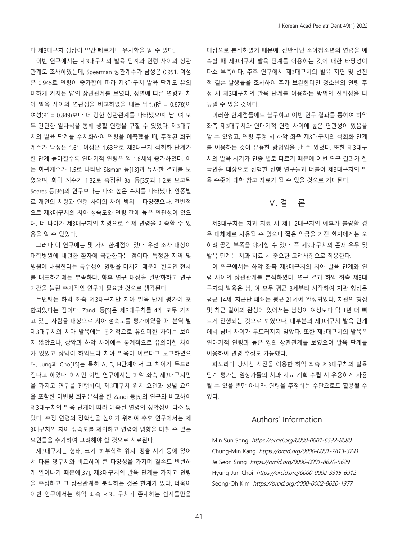다 제3대구치 성장이 약간 빠르거나 유사함을 알 수 있다.

이번 연구에서는 제3대구치의 발육 단계와 연령 사이의 상관 관계도 조사하였는데, Spearman 상관계수가 남성은 0.951, 여성 은 0.945로 연령이 증가함에 따라 제3대구치 발육 단계도 유의 미하게 커지는 양의 상관관계를 보였다. 성별에 따른 연령과 치 아 발육 사이의 연관성을 비교하였을 때는 남성( $R^2 = 0.878$ )이 여성(R2 = 0.849)보다 더 강한 상관관계를 나타냈으며, 남, 여 모 두 간단한 일차식을 통해 생활 연령을 구할 수 있었다. 제3대구 치의 발육 단계를 수치화하여 연령을 예측했을 때, 추정된 회귀 계수가 남성은 1.61, 여성은 1.63으로 제3대구치 석회화 단계가 한 단계 높아질수록 연대기적 연령은 약 1.6세씩 증가하였다. 이 는 회귀계수가 1.5로 나타난 Sisman 등[13]과 유사한 결과를 보 였으며, 회귀 계수가 1.32로 측정된 Bai 등[35]과 1.2로 보고된 Soares 등[36]의 연구보다는 다소 높은 수치를 나타냈다. 인종별 로 개인의 치령과 연령 사이의 차이 범위는 다양했으나, 전반적 으로 제3대구치의 치아 성숙도와 연령 간에 높은 연관성이 있으 며, 더 나아가 제3대구치의 치령으로 실제 연령을 예측할 수 있 음을 알 수 있었다.

그러나 이 연구에는 몇 가지 한계점이 있다. 우선 조사 대상이 대학병원에 내원한 환자에 국한한다는 점이다. 특정한 지역 및 병원에 내원한다는 특수성이 영향을 미치기 때문에 한국인 전체 를 대표하기에는 부족하다. 향후 연구 대상을 일반화하고 연구 기간을 늘린 추가적인 연구가 필요할 것으로 생각된다.

두번째는 하악 좌측 제3대구치만 치아 발육 단계 평가에 포 함되었다는 점이다. Zandi 등[5]은 제3대구치를 4개 모두 가지 고 있는 사람을 대상으로 치아 성숙도를 평가하였을 때, 분역 별 제3대구치의 치아 발육에는 통계적으로 유의미한 차이는 보이 지 않았으나, 상악과 하악 사이에는 통계적으로 유의미한 차이 가 있었고 상악이 하악보다 치아 발육이 이르다고 보고하였으 며, Jung과 Cho[15]는 특히 A, D, H단계에서 그 차이가 두드러 진다고 하였다. 하지만 이번 연구에서는 하악 좌측 제3대구치만 을 가지고 연구를 진행하여, 제3대구치 위치 요인과 성별 요인 을 포함한 다변량 회귀분석을 한 Zandi 등[5]의 연구와 비교하여 제3대구치의 발육 단계에 따라 예측된 연령의 정확성이 다소 낮 았다. 추정 연령의 정확성을 높이기 위하여 추후 연구에서는 제 3대구치의 치아 성숙도를 제외하고 연령에 영향을 미칠 수 있는 요인들을 추가하여 고려해야 할 것으로 사료된다.

제3대구치는 형태, 크기, 해부학적 위치, 맹출 시기 등에 있어 서 다른 영구치와 비교하여 큰 다양성을 가지며 결손도 빈번하 게 일어나기 때문에[37], 제3대구치의 발육 단계를 가지고 연령 을 추정하고 그 상관관계를 분석하는 것은 한계가 있다. 더욱이 이번 연구에서는 하악 좌측 제3대구치가 존재하는 환자들만을 대상으로 분석하였기 때문에, 전반적인 소아청소년의 연령을 예 측할 때 제3대구치 발육 단계를 이용하는 것에 대한 타당성이 다소 부족하다. 추후 연구에서 제3대구치의 발육 지연 및 선천 적 결손 발생률을 조사하여 추가 보완한다면 청소년의 연령 추 정 시 제3대구치의 발육 단계를 이용하는 방법의 신뢰성을 더 높일 수 있을 것이다.

이러한 한계점들에도 불구하고 이번 연구 결과를 통하여 하악 좌측 제3대구치와 연대기적 연령 사이에 높은 연관성이 있음을 알 수 있었고, 연령 추정 시 하악 좌측 제3대구치의 석회화 단계 를 이용하는 것이 유용한 방법임을 알 수 있었다. 또한 제3대구 치의 발육 시기가 인종 별로 다르기 때문에 이번 연구 결과가 한 국인을 대상으로 진행한 선행 연구들과 더불어 제3대구치의 발 육 수준에 대한 참고 자료가 될 수 있을 것으로 기대된다.

## Ⅴ. 결 론

제3대구치는 치과 치료 시 제1, 2대구치의 예후가 불량할 경 우 대체제로 사용될 수 있으나 짧은 악궁을 가진 환자에게는 오 히려 공간 부족을 야기할 수 있다. 즉 제3대구치의 존재 유무 및 발육 단계는 치과 치료 시 중요한 고려사항으로 작용한다.

이 연구에서는 하악 좌측 제3대구치의 치아 발육 단계와 연 령 사이의 상관관계를 분석하였다. 연구 결과 하악 좌측 제3대 구치의 발육은 남, 여 모두 평균 8세부터 시작하여 치관 형성은 평균 14세, 치근단 폐쇄는 평균 21세에 완성되었다. 치관의 형성 및 치근 길이의 완성에 있어서는 남성이 여성보다 약 1년 더 빠 르게 진행되는 것으로 보였으나, 대부분의 제3대구치 발육 단계 에서 남녀 차이가 두드러지지 않았다. 또한 제3대구치의 발육은 연대기적 연령과 높은 양의 상관관계를 보였으며 발육 단계를 이용하여 연령 추정도 가능했다.

파노라마 방사선 사진을 이용한 하악 좌측 제3대구치의 발육 단계 평가는 임상가들의 치과 치료 계획 수립 시 유용하게 사용 될 수 있을 뿐만 아니라, 연령을 추정하는 수단으로도 활용될 수 있다.

### Authors' Information

Min Sun Song https://orcid.org/0000-0001-6532-8080 Chung-Min Kang https://orcid.org/0000-0001-7813-3741 Je Seon Song https://orcid.org/0000-0001-8620-5629 Hyung-Jun Choi https://orcid.org/0000-0002-3315-6912 Seong-Oh Kim https://orcid.org/0000-0002-8620-1377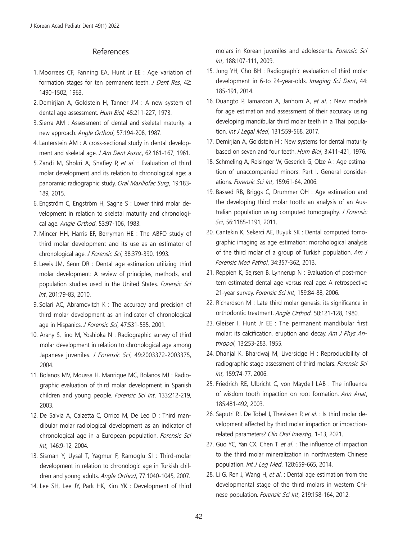### References

- 1. Moorrees CF, Fanning EA, Hunt Jr EE : Age variation of formation stages for ten permanent teeth. *J Dent Res*, 42: 1490-1502, 1963.
- 2. Demirjian A, Goldstein H, Tanner JM : A new system of dental age assessment. Hum Biol, 45:211-227, 1973.
- 3. Sierra AM : Assessment of dental and skeletal maturity: a new approach. Angle Orthod, 57:194-208, 1987.
- 4. Lauterstein AM : A cross-sectional study in dental development and skeletal age. J Am Dent Assoc, 62:161-167, 1961.
- 5. Zandi M, Shokri A, Shafiey P, et al. : Evaluation of third molar development and its relation to chronological age: a panoramic radiographic study. Oral Maxillofac Surg, 19:183- 189, 2015.
- 6. Engström C, Engström H, Sagne S : Lower third molar development in relation to skeletal maturity and chronological age. Angle Orthod, 53:97-106, 1983.
- 7. Mincer HH, Harris EF, Berryman HE : The ABFO study of third molar development and its use as an estimator of chronological age. J Forensic Sci, 38:379-390, 1993.
- 8. Lewis JM, Senn DR : Dental age estimation utilizing third molar development: A review of principles, methods, and population studies used in the United States. Forensic Sci Int, 201:79-83, 2010.
- 9. Solari AC, Abramovitch K : The accuracy and precision of third molar development as an indicator of chronological age in Hispanics. J Forensic Sci, 47:531-535, 2001.
- 10. Arany S, Iino M, Yoshioka N : Radiographic survey of third molar development in relation to chronological age among Japanese juveniles. J Forensic Sci, 49:2003372-2003375, 2004.
- 11. Bolanos MV, Moussa H, Manrique MC, Bolanos MJ : Radiographic evaluation of third molar development in Spanish children and young people. Forensic Sci Int, 133:212-219, 2003.
- 12. De Salvia A, Calzetta C, Orrico M, De Leo D : Third mandibular molar radiological development as an indicator of chronological age in a European population. Forensic Sci Int, 146:9-12, 2004.
- 13. Sisman Y, Uysal T, Yagmur F, Ramoglu SI : Third-molar development in relation to chronologic age in Turkish children and young adults. Angle Orthod, 77:1040-1045, 2007.
- 14. Lee SH, Lee JY, Park HK, Kim YK : Development of third

molars in Korean juveniles and adolescents. Forensic Sci Int, 188:107-111, 2009.

- 15. Jung YH, Cho BH : Radiographic evaluation of third molar development in 6-to 24-year-olds. Imaging Sci Dent, 44: 185-191, 2014.
- 16. Duangto P, Iamaroon A, Janhom A, et al. : New models for age estimation and assessment of their accuracy using developing mandibular third molar teeth in a Thai population. Int J Legal Med, 131:559-568, 2017.
- 17. Demirjian A, Goldstein H : New systems for dental maturity based on seven and four teeth. Hum Biol, 3:411-421, 1976.
- 18. Schmeling A, Reisinger W, Geserick G, Olze A : Age estimation of unaccompanied minors: Part I. General considerations. Forensic Sci Int, 159:61-64, 2006.
- 19. Bassed RB, Briggs C, Drummer OH : Age estimation and the developing third molar tooth: an analysis of an Australian population using computed tomography. J Forensic Sci, 56:1185-1191, 2011.
- 20. Cantekin K, Sekerci AE, Buyuk SK : Dental computed tomographic imaging as age estimation: morphological analysis of the third molar of a group of Turkish population. Am  $J$ Forensic Med Pathol, 34:357-362, 2013.
- 21. Reppien K, Sejrsen B, Lynnerup N : Evaluation of post-mortem estimated dental age versus real age: A retrospective 21-year survey. Forensic Sci Int, 159:84-88, 2006.
- 22. Richardson M : Late third molar genesis: its significance in orthodontic treatment. Angle Orthod, 50:121-128, 1980.
- 23. Gleiser I, Hunt Jr EE : The permanent mandibular first molar: its calcification, eruption and decay. Am J Phys Anthropol, 13:253-283, 1955.
- 24. Dhanjal K, Bhardwaj M, Liversidge H : Reproducibility of radiographic stage assessment of third molars. Forensic Sci Int, 159:74-77, 2006.
- 25. Friedrich RE, Ulbricht C, von Maydell LAB : The influence of wisdom tooth impaction on root formation. Ann Anat, 185:481-492, 2003.
- 26. Saputri RI, De Tobel J, Thevissen P, et al. : Is third molar development affected by third molar impaction or impactionrelated parameters? Clin Oral Investig, 1-13, 2021.
- 27. Guo YC, Yan CX, Chen T, et al. : The influence of impaction to the third molar mineralization in northwestern Chinese population. Int J Leg Med, 128:659-665, 2014.
- 28. Li G, Ren J, Wang H, et al. : Dental age estimation from the developmental stage of the third molars in western Chinese population. Forensic Sci Int, 219:158-164, 2012.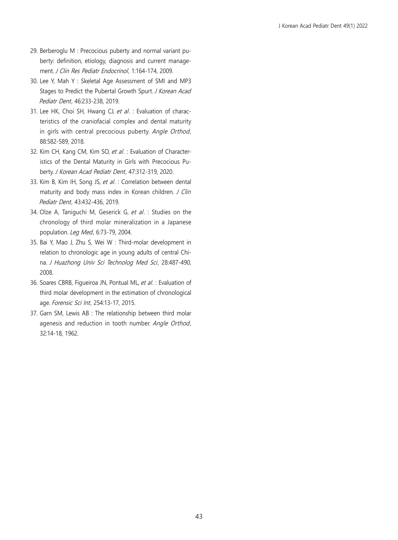- 29. Berberoglu M : Precocious puberty and normal variant puberty: definition, etiology, diagnosis and current management. J Clin Res Pediatr Endocrinol, 1:164-174, 2009.
- 30. Lee Y, Mah Y: Skeletal Age Assessment of SMI and MP3 Stages to Predict the Pubertal Growth Spurt. J Korean Acad Pediatr Dent, 46:233-238, 2019.
- 31. Lee HK, Choi SH, Hwang CJ, et al. : Evaluation of characteristics of the craniofacial complex and dental maturity in girls with central precocious puberty. Angle Orthod, 88:582-589, 2018.
- 32. Kim CH, Kang CM, Kim SO, et al. : Evaluation of Characteristics of the Dental Maturity in Girls with Precocious Puberty. J Korean Acad Pediatr Dent, 47:312-319, 2020.
- 33. Kim B, Kim IH, Song JS, et al. : Correlation between dental maturity and body mass index in Korean children. J Clin Pediatr Dent, 43:432-436, 2019.
- 34. Olze A, Taniguchi M, Geserick G, et al. : Studies on the chronology of third molar mineralization in a Japanese population. Leg Med, 6:73-79, 2004.
- 35. Bai Y, Mao J, Zhu S, Wei W : Third-molar development in relation to chronologic age in young adults of central China. J Huazhong Univ Sci Technolog Med Sci, 28:487-490, 2008.
- 36. Soares CBRB, Figueiroa JN, Pontual ML, et al. : Evaluation of third molar development in the estimation of chronological age. Forensic Sci Int, 254:13-17, 2015.
- 37. Garn SM, Lewis AB : The relationship between third molar agenesis and reduction in tooth number. Angle Orthod, 32:14-18, 1962.